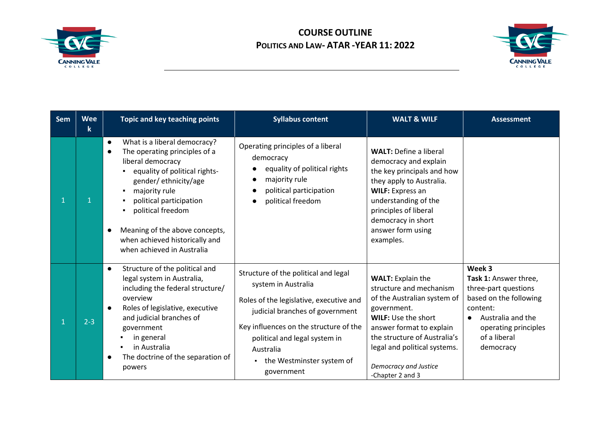



| <b>Sem</b> | <b>Wee</b><br>k | Topic and key teaching points                                                                                                                                                                                                                                                                                                                         | <b>Syllabus content</b>                                                                                                                                                                                                                                                      | <b>WALT &amp; WILF</b>                                                                                                                                                                                                                                                   | <b>Assessment</b>                                                                                                                                                                    |
|------------|-----------------|-------------------------------------------------------------------------------------------------------------------------------------------------------------------------------------------------------------------------------------------------------------------------------------------------------------------------------------------------------|------------------------------------------------------------------------------------------------------------------------------------------------------------------------------------------------------------------------------------------------------------------------------|--------------------------------------------------------------------------------------------------------------------------------------------------------------------------------------------------------------------------------------------------------------------------|--------------------------------------------------------------------------------------------------------------------------------------------------------------------------------------|
|            |                 | What is a liberal democracy?<br>$\bullet$<br>The operating principles of a<br>$\bullet$<br>liberal democracy<br>equality of political rights-<br>gender/ethnicity/age<br>majority rule<br>political participation<br>political freedom<br>Meaning of the above concepts,<br>$\bullet$<br>when achieved historically and<br>when achieved in Australia | Operating principles of a liberal<br>democracy<br>equality of political rights<br>majority rule<br>political participation<br>political freedom                                                                                                                              | <b>WALT: Define a liberal</b><br>democracy and explain<br>the key principals and how<br>they apply to Australia.<br><b>WILF:</b> Express an<br>understanding of the<br>principles of liberal<br>democracy in short<br>answer form using<br>examples.                     |                                                                                                                                                                                      |
|            | $2 - 3$         | Structure of the political and<br>$\bullet$<br>legal system in Australia,<br>including the federal structure/<br>overview<br>Roles of legislative, executive<br>$\bullet$<br>and judicial branches of<br>government<br>in general<br>in Australia<br>The doctrine of the separation of<br>$\bullet$<br>powers                                         | Structure of the political and legal<br>system in Australia<br>Roles of the legislative, executive and<br>judicial branches of government<br>Key influences on the structure of the<br>political and legal system in<br>Australia<br>the Westminster system of<br>government | <b>WALT: Explain the</b><br>structure and mechanism<br>of the Australian system of<br>government.<br><b>WILF: Use the short</b><br>answer format to explain<br>the structure of Australia's<br>legal and political systems.<br>Democracy and Justice<br>-Chapter 2 and 3 | Week 3<br>Task 1: Answer three,<br>three-part questions<br>based on the following<br>content:<br>Australia and the<br>$\bullet$<br>operating principles<br>of a liberal<br>democracy |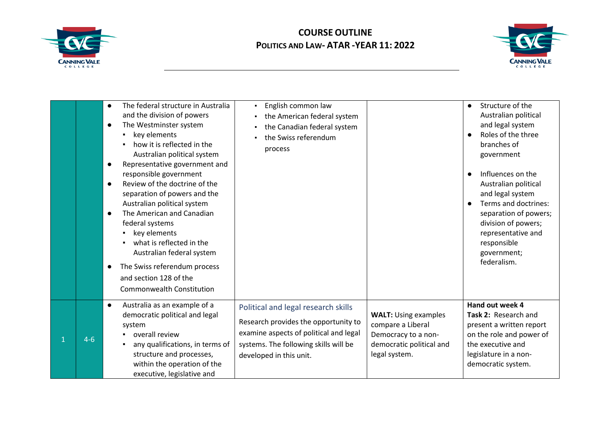



|         | The federal structure in Australia<br>$\bullet$<br>and the division of powers<br>The Westminster system<br>$\bullet$<br>key elements<br>$\blacksquare$<br>how it is reflected in the<br>Australian political system<br>Representative government and<br>$\bullet$<br>responsible government<br>Review of the doctrine of the<br>$\bullet$<br>separation of powers and the<br>Australian political system<br>The American and Canadian<br>$\bullet$<br>federal systems<br>key elements<br>what is reflected in the<br>$\blacksquare$<br>Australian federal system<br>The Swiss referendum process<br>$\bullet$<br>and section 128 of the<br>Commonwealth Constitution | English common law<br>$\blacksquare$<br>the American federal system<br>$\blacksquare$<br>the Canadian federal system<br>the Swiss referendum<br>process                                   |                                                                                                                      | Structure of the<br>$\bullet$<br>Australian political<br>and legal system<br>Roles of the three<br>$\bullet$<br>branches of<br>government<br>Influences on the<br>$\bullet$<br>Australian political<br>and legal system<br>Terms and doctrines:<br>$\bullet$<br>separation of powers;<br>division of powers;<br>representative and<br>responsible<br>government;<br>federalism. |
|---------|----------------------------------------------------------------------------------------------------------------------------------------------------------------------------------------------------------------------------------------------------------------------------------------------------------------------------------------------------------------------------------------------------------------------------------------------------------------------------------------------------------------------------------------------------------------------------------------------------------------------------------------------------------------------|-------------------------------------------------------------------------------------------------------------------------------------------------------------------------------------------|----------------------------------------------------------------------------------------------------------------------|---------------------------------------------------------------------------------------------------------------------------------------------------------------------------------------------------------------------------------------------------------------------------------------------------------------------------------------------------------------------------------|
| $4 - 6$ | Australia as an example of a<br>$\bullet$<br>democratic political and legal<br>system<br>overall review<br>any qualifications, in terms of<br>٠<br>structure and processes,<br>within the operation of the<br>executive, legislative and                                                                                                                                                                                                                                                                                                                                                                                                                             | Political and legal research skills<br>Research provides the opportunity to<br>examine aspects of political and legal<br>systems. The following skills will be<br>developed in this unit. | <b>WALT: Using examples</b><br>compare a Liberal<br>Democracy to a non-<br>democratic political and<br>legal system. | Hand out week 4<br>Task 2: Research and<br>present a written report<br>on the role and power of<br>the executive and<br>legislature in a non-<br>democratic system.                                                                                                                                                                                                             |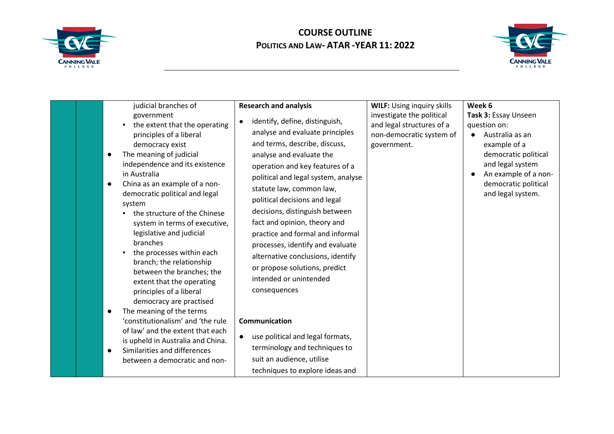



| judicial branches of<br>government<br>the extent that the operating<br>principles of a liberal<br>democracy exist<br>The meaning of judicial<br>independence and its existence<br>in Australia<br>China as an example of a non-<br>$\bullet$<br>democratic political and legal<br>system<br>the structure of the Chinese<br>system in terms of executive,<br>legislative and judicial<br>branches<br>the processes within each<br>branch; the relationship<br>between the branches; the<br>extent that the operating<br>principles of a liberal<br>democracy are practised<br>The meaning of the terms<br>'constitutionalism' and 'the rule<br>of law' and the extent that each | <b>Research and analysis</b><br>identify, define, distinguish,<br>analyse and evaluate principles<br>and terms, describe, discuss,<br>analyse and evaluate the<br>operation and key features of a<br>political and legal system, analyse<br>statute law, common law,<br>political decisions and legal<br>decisions, distinguish between<br>fact and opinion, theory and<br>practice and formal and informal<br>processes, identify and evaluate<br>alternative conclusions, identify<br>or propose solutions, predict<br>intended or unintended<br>consequences<br>Communication | <b>WILF: Using inquiry skills</b><br>investigate the political<br>and legal structures of a<br>non-democratic system of<br>government. | Week 6<br>Task 3: Essay Unseen<br>question on:<br>Australia as an<br>$\bullet$<br>example of a<br>democratic political<br>and legal system<br>An example of a non-<br>democratic political<br>and legal system. |
|---------------------------------------------------------------------------------------------------------------------------------------------------------------------------------------------------------------------------------------------------------------------------------------------------------------------------------------------------------------------------------------------------------------------------------------------------------------------------------------------------------------------------------------------------------------------------------------------------------------------------------------------------------------------------------|----------------------------------------------------------------------------------------------------------------------------------------------------------------------------------------------------------------------------------------------------------------------------------------------------------------------------------------------------------------------------------------------------------------------------------------------------------------------------------------------------------------------------------------------------------------------------------|----------------------------------------------------------------------------------------------------------------------------------------|-----------------------------------------------------------------------------------------------------------------------------------------------------------------------------------------------------------------|
| is upheld in Australia and China.<br>Similarities and differences<br>between a democratic and non-                                                                                                                                                                                                                                                                                                                                                                                                                                                                                                                                                                              | use political and legal formats,<br>terminology and techniques to<br>suit an audience, utilise<br>techniques to explore ideas and                                                                                                                                                                                                                                                                                                                                                                                                                                                |                                                                                                                                        |                                                                                                                                                                                                                 |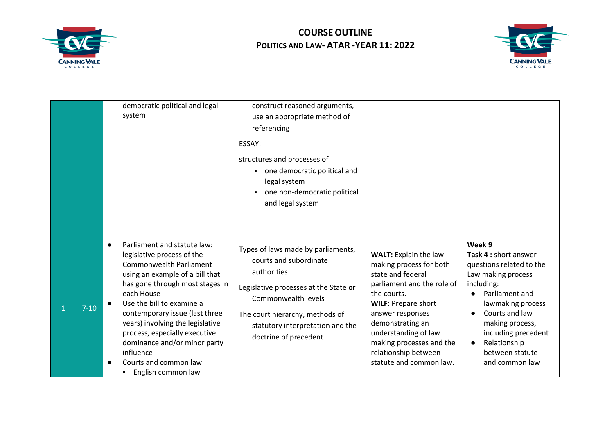



|    |          | democratic political and legal<br>system                                                                                                                                                                                                                                                                                                                                                                                     | construct reasoned arguments,<br>use an appropriate method of<br>referencing<br>ESSAY:<br>structures and processes of<br>one democratic political and<br>legal system<br>one non-democratic political<br>and legal system                   |                                                                                                                                                                                                                                                                                                        |                                                                                                                                                                                                                                                                      |
|----|----------|------------------------------------------------------------------------------------------------------------------------------------------------------------------------------------------------------------------------------------------------------------------------------------------------------------------------------------------------------------------------------------------------------------------------------|---------------------------------------------------------------------------------------------------------------------------------------------------------------------------------------------------------------------------------------------|--------------------------------------------------------------------------------------------------------------------------------------------------------------------------------------------------------------------------------------------------------------------------------------------------------|----------------------------------------------------------------------------------------------------------------------------------------------------------------------------------------------------------------------------------------------------------------------|
| -1 | $7 - 10$ | Parliament and statute law:<br>$\bullet$<br>legislative process of the<br><b>Commonwealth Parliament</b><br>using an example of a bill that<br>has gone through most stages in<br>each House<br>Use the bill to examine a<br>contemporary issue (last three<br>years) involving the legislative<br>process, especially executive<br>dominance and/or minor party<br>influence<br>Courts and common law<br>English common law | Types of laws made by parliaments,<br>courts and subordinate<br>authorities<br>Legislative processes at the State or<br>Commonwealth levels<br>The court hierarchy, methods of<br>statutory interpretation and the<br>doctrine of precedent | <b>WALT: Explain the law</b><br>making process for both<br>state and federal<br>parliament and the role of<br>the courts.<br><b>WILF: Prepare short</b><br>answer responses<br>demonstrating an<br>understanding of law<br>making processes and the<br>relationship between<br>statute and common law. | Week 9<br>Task 4 : short answer<br>questions related to the<br>Law making process<br>including:<br>Parliament and<br>lawmaking process<br>Courts and law<br>$\bullet$<br>making process,<br>including precedent<br>Relationship<br>between statute<br>and common law |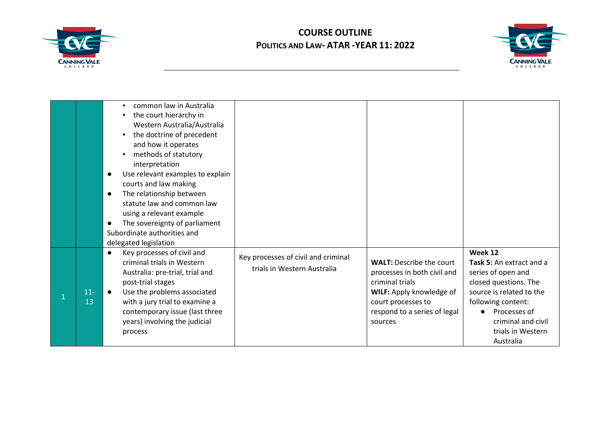



|             | common law in Australia<br>the court hierarchy in<br>Western Australia/Australia<br>the doctrine of precedent<br>and how it operates<br>methods of statutory<br>interpretation<br>Use relevant examples to explain<br>$\bullet$<br>courts and law making<br>The relationship between<br>$\bullet$<br>statute law and common law<br>using a relevant example<br>The sovereignty of parliament<br>$\bullet$<br>Subordinate authorities and<br>delegated legislation |                                                                    |                                                                                                                                                                                |                                                                                                                                                                                                              |
|-------------|-------------------------------------------------------------------------------------------------------------------------------------------------------------------------------------------------------------------------------------------------------------------------------------------------------------------------------------------------------------------------------------------------------------------------------------------------------------------|--------------------------------------------------------------------|--------------------------------------------------------------------------------------------------------------------------------------------------------------------------------|--------------------------------------------------------------------------------------------------------------------------------------------------------------------------------------------------------------|
| $11-$<br>13 | Key processes of civil and<br>$\bullet$<br>criminal trials in Western<br>Australia: pre-trial, trial and<br>post-trial stages<br>Use the problems associated<br>with a jury trial to examine a<br>contemporary issue (last three<br>years) involving the judicial<br>process                                                                                                                                                                                      | Key processes of civil and criminal<br>trials in Western Australia | <b>WALT: Describe the court</b><br>processes in both civil and<br>criminal trials<br>WILF: Apply knowledge of<br>court processes to<br>respond to a series of legal<br>sources | Week 12<br>Task 5: An extract and a<br>series of open and<br>closed questions. The<br>source is related to the<br>following content:<br>Processes of<br>criminal and civil<br>trials in Western<br>Australia |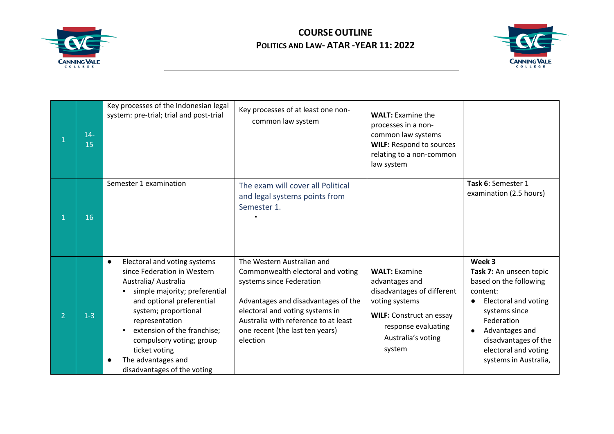



|                | $14 -$<br>15 | Key processes of the Indonesian legal<br>system: pre-trial; trial and post-trial                                                                                                                                                                                                                                                                       | Key processes of at least one non-<br>common law system                                                                                                                                                                                                      | <b>WALT: Examine the</b><br>processes in a non-<br>common law systems<br><b>WILF: Respond to sources</b><br>relating to a non-common<br>law system                               |                                                                                                                                                                                                                                  |
|----------------|--------------|--------------------------------------------------------------------------------------------------------------------------------------------------------------------------------------------------------------------------------------------------------------------------------------------------------------------------------------------------------|--------------------------------------------------------------------------------------------------------------------------------------------------------------------------------------------------------------------------------------------------------------|----------------------------------------------------------------------------------------------------------------------------------------------------------------------------------|----------------------------------------------------------------------------------------------------------------------------------------------------------------------------------------------------------------------------------|
| $\mathbf{1}$   | 16           | Semester 1 examination                                                                                                                                                                                                                                                                                                                                 | The exam will cover all Political<br>and legal systems points from<br>Semester 1.                                                                                                                                                                            |                                                                                                                                                                                  | Task 6: Semester 1<br>examination (2.5 hours)                                                                                                                                                                                    |
| $\overline{2}$ | $1 - 3$      | Electoral and voting systems<br>$\bullet$<br>since Federation in Western<br>Australia/ Australia<br>simple majority; preferential<br>and optional preferential<br>system; proportional<br>representation<br>extension of the franchise;<br>compulsory voting; group<br>ticket voting<br>The advantages and<br>$\bullet$<br>disadvantages of the voting | The Western Australian and<br>Commonwealth electoral and voting<br>systems since Federation<br>Advantages and disadvantages of the<br>electoral and voting systems in<br>Australia with reference to at least<br>one recent (the last ten years)<br>election | <b>WALT: Examine</b><br>advantages and<br>disadvantages of different<br>voting systems<br><b>WILF: Construct an essay</b><br>response evaluating<br>Australia's voting<br>system | Week 3<br>Task 7: An unseen topic<br>based on the following<br>content:<br><b>Electoral and voting</b><br>systems since<br>Federation<br>Advantages and<br>disadvantages of the<br>electoral and voting<br>systems in Australia, |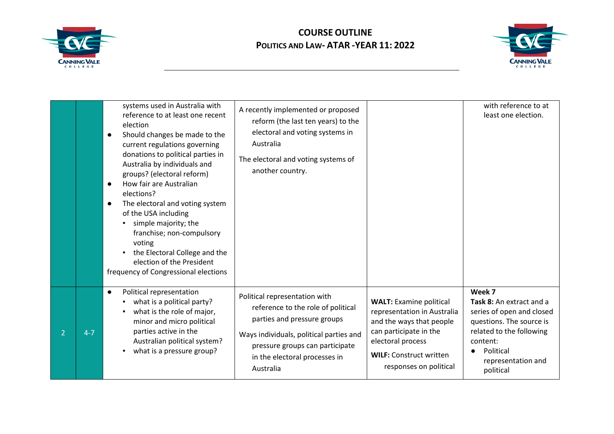



|                |         | systems used in Australia with<br>reference to at least one recent<br>election<br>Should changes be made to the<br>$\bullet$<br>current regulations governing<br>donations to political parties in<br>Australia by individuals and<br>groups? (electoral reform)<br>How fair are Australian<br>$\bullet$<br>elections?<br>The electoral and voting system<br>$\bullet$<br>of the USA including<br>simple majority; the<br>franchise; non-compulsory<br>voting<br>the Electoral College and the<br>election of the President<br>frequency of Congressional elections | A recently implemented or proposed<br>reform (the last ten years) to the<br>electoral and voting systems in<br>Australia<br>The electoral and voting systems of<br>another country.                                            |                                                                                                                                                                                                      | with reference to at<br>least one election.                                                                                                                                         |
|----------------|---------|---------------------------------------------------------------------------------------------------------------------------------------------------------------------------------------------------------------------------------------------------------------------------------------------------------------------------------------------------------------------------------------------------------------------------------------------------------------------------------------------------------------------------------------------------------------------|--------------------------------------------------------------------------------------------------------------------------------------------------------------------------------------------------------------------------------|------------------------------------------------------------------------------------------------------------------------------------------------------------------------------------------------------|-------------------------------------------------------------------------------------------------------------------------------------------------------------------------------------|
| $\overline{2}$ | $4 - 7$ | Political representation<br>$\bullet$<br>what is a political party?<br>what is the role of major,<br>minor and micro political<br>parties active in the<br>Australian political system?<br>what is a pressure group?<br>٠.                                                                                                                                                                                                                                                                                                                                          | Political representation with<br>reference to the role of political<br>parties and pressure groups<br>Ways individuals, political parties and<br>pressure groups can participate<br>in the electoral processes in<br>Australia | <b>WALT: Examine political</b><br>representation in Australia<br>and the ways that people<br>can participate in the<br>electoral process<br><b>WILF: Construct written</b><br>responses on political | Week 7<br>Task 8: An extract and a<br>series of open and closed<br>questions. The source is<br>related to the following<br>content:<br>Political<br>representation and<br>political |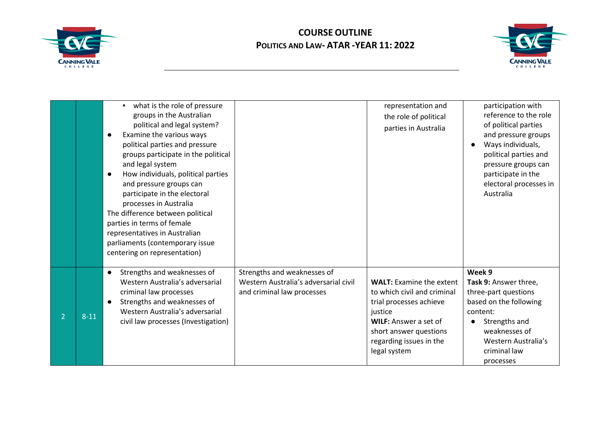



|   |          | what is the role of pressure<br>groups in the Australian<br>political and legal system?<br>Examine the various ways<br>$\bullet$<br>political parties and pressure<br>groups participate in the political<br>and legal system<br>How individuals, political parties<br>$\bullet$<br>and pressure groups can<br>participate in the electoral<br>processes in Australia<br>The difference between political<br>parties in terms of female<br>representatives in Australian<br>parliaments (contemporary issue<br>centering on representation) |                                                                                                    | representation and<br>the role of political<br>parties in Australia                                                                                                                                       | participation with<br>reference to the role<br>of political parties<br>and pressure groups<br>Ways individuals,<br>political parties and<br>pressure groups can<br>participate in the<br>electoral processes in<br>Australia |
|---|----------|---------------------------------------------------------------------------------------------------------------------------------------------------------------------------------------------------------------------------------------------------------------------------------------------------------------------------------------------------------------------------------------------------------------------------------------------------------------------------------------------------------------------------------------------|----------------------------------------------------------------------------------------------------|-----------------------------------------------------------------------------------------------------------------------------------------------------------------------------------------------------------|------------------------------------------------------------------------------------------------------------------------------------------------------------------------------------------------------------------------------|
| 2 | $8 - 11$ | Strengths and weaknesses of<br>$\bullet$<br>Western Australia's adversarial<br>criminal law processes<br>Strengths and weaknesses of<br>Western Australia's adversarial<br>civil law processes (Investigation)                                                                                                                                                                                                                                                                                                                              | Strengths and weaknesses of<br>Western Australia's adversarial civil<br>and criminal law processes | <b>WALT:</b> Examine the extent<br>to which civil and criminal<br>trial processes achieve<br>justice<br><b>WILF:</b> Answer a set of<br>short answer questions<br>regarding issues in the<br>legal system | Week 9<br>Task 9: Answer three,<br>three-part questions<br>based on the following<br>content:<br>Strengths and<br>weaknesses of<br>Western Australia's<br>criminal law<br>processes                                          |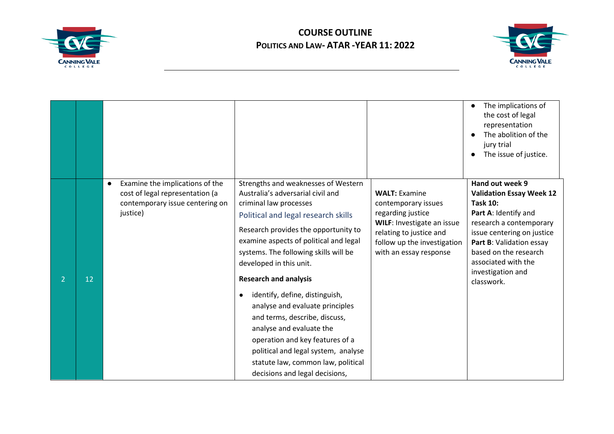



|   |    |                                                                                                                                |                                                                                                                                                                                                                                                                                                                                                                                                                                                                                                                                                                                                                                  |                                                                                                                                                                                           | The implications of<br>$\bullet$<br>the cost of legal<br>representation<br>The abolition of the<br>jury trial<br>The issue of justice.                                                                                                                                |
|---|----|--------------------------------------------------------------------------------------------------------------------------------|----------------------------------------------------------------------------------------------------------------------------------------------------------------------------------------------------------------------------------------------------------------------------------------------------------------------------------------------------------------------------------------------------------------------------------------------------------------------------------------------------------------------------------------------------------------------------------------------------------------------------------|-------------------------------------------------------------------------------------------------------------------------------------------------------------------------------------------|-----------------------------------------------------------------------------------------------------------------------------------------------------------------------------------------------------------------------------------------------------------------------|
| 2 | 12 | Examine the implications of the<br>$\bullet$<br>cost of legal representation (a<br>contemporary issue centering on<br>justice) | Strengths and weaknesses of Western<br>Australia's adversarial civil and<br>criminal law processes<br>Political and legal research skills<br>Research provides the opportunity to<br>examine aspects of political and legal<br>systems. The following skills will be<br>developed in this unit.<br><b>Research and analysis</b><br>identify, define, distinguish,<br>$\bullet$<br>analyse and evaluate principles<br>and terms, describe, discuss,<br>analyse and evaluate the<br>operation and key features of a<br>political and legal system, analyse<br>statute law, common law, political<br>decisions and legal decisions, | <b>WALT: Examine</b><br>contemporary issues<br>regarding justice<br><b>WILF: Investigate an issue</b><br>relating to justice and<br>follow up the investigation<br>with an essay response | Hand out week 9<br><b>Validation Essay Week 12</b><br><b>Task 10:</b><br>Part A: Identify and<br>research a contemporary<br>issue centering on justice<br>Part B: Validation essay<br>based on the research<br>associated with the<br>investigation and<br>classwork. |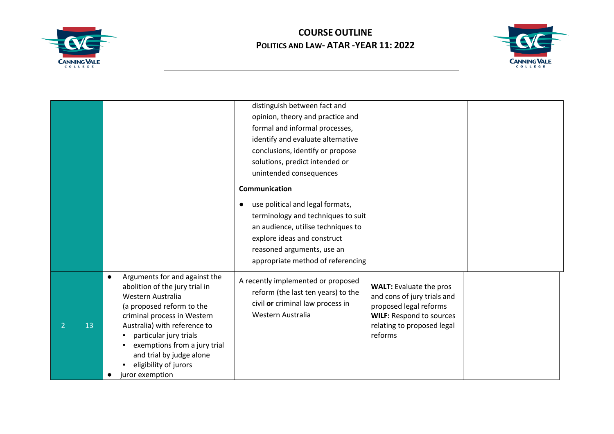



|                      |                                                                                                                                                                                                                                                                                                                                 | distinguish between fact and                                                                                                                                                                                                |                                                                                                                                                                     |  |
|----------------------|---------------------------------------------------------------------------------------------------------------------------------------------------------------------------------------------------------------------------------------------------------------------------------------------------------------------------------|-----------------------------------------------------------------------------------------------------------------------------------------------------------------------------------------------------------------------------|---------------------------------------------------------------------------------------------------------------------------------------------------------------------|--|
|                      |                                                                                                                                                                                                                                                                                                                                 | opinion, theory and practice and                                                                                                                                                                                            |                                                                                                                                                                     |  |
|                      |                                                                                                                                                                                                                                                                                                                                 | formal and informal processes,                                                                                                                                                                                              |                                                                                                                                                                     |  |
|                      |                                                                                                                                                                                                                                                                                                                                 | identify and evaluate alternative                                                                                                                                                                                           |                                                                                                                                                                     |  |
|                      |                                                                                                                                                                                                                                                                                                                                 | conclusions, identify or propose                                                                                                                                                                                            |                                                                                                                                                                     |  |
|                      |                                                                                                                                                                                                                                                                                                                                 | solutions, predict intended or                                                                                                                                                                                              |                                                                                                                                                                     |  |
|                      |                                                                                                                                                                                                                                                                                                                                 | unintended consequences                                                                                                                                                                                                     |                                                                                                                                                                     |  |
|                      |                                                                                                                                                                                                                                                                                                                                 | Communication                                                                                                                                                                                                               |                                                                                                                                                                     |  |
|                      |                                                                                                                                                                                                                                                                                                                                 | use political and legal formats,<br>$\bullet$<br>terminology and techniques to suit<br>an audience, utilise techniques to<br>explore ideas and construct<br>reasoned arguments, use an<br>appropriate method of referencing |                                                                                                                                                                     |  |
| 13<br>$\overline{2}$ | Arguments for and against the<br>$\bullet$<br>abolition of the jury trial in<br>Western Australia<br>(a proposed reform to the<br>criminal process in Western<br>Australia) with reference to<br>particular jury trials<br>exemptions from a jury trial<br>and trial by judge alone<br>eligibility of jurors<br>juror exemption | A recently implemented or proposed<br>reform (the last ten years) to the<br>civil or criminal law process in<br>Western Australia                                                                                           | <b>WALT: Evaluate the pros</b><br>and cons of jury trials and<br>proposed legal reforms<br><b>WILF: Respond to sources</b><br>relating to proposed legal<br>reforms |  |